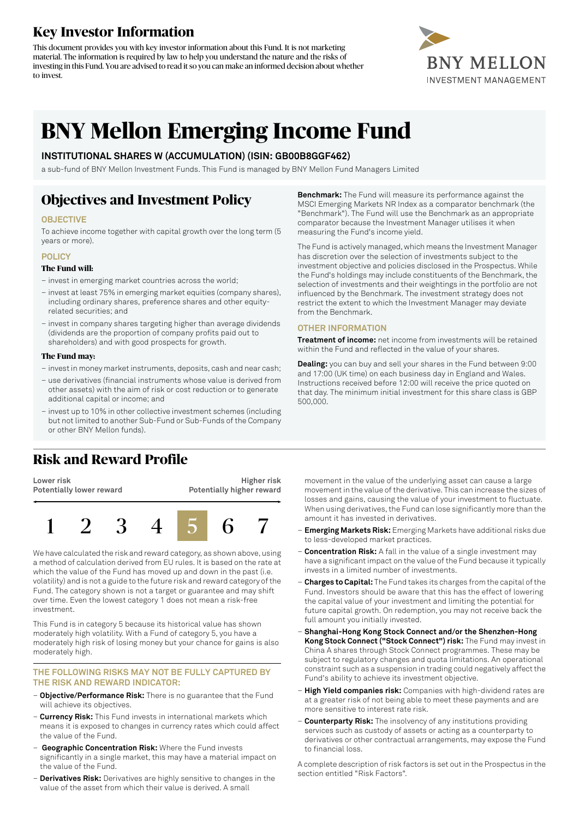### **Key Investor Information**

This document provides you with key investor information about this Fund. It is not marketing material. The information is required by law to help you understand the nature and the risks of investing in this Fund. You are advised to read it so you can make an informed decision about whether to invest.



# **BNY Mellon Emerging Income Fund**

### **INSTITUTIONAL SHARES W (ACCUMULATION) (ISIN: GB00B8GGF462)**

a sub-fund of BNY Mellon Investment Funds. This Fund is managed by BNY Mellon Fund Managers Limited

## **Objectives and Investment Policy**

### **OBJECTIVE**

To achieve income together with capital growth over the long term (5 years or more).

### **POLICY**

#### **The Fund will:**

- invest in emerging market countries across the world;
- invest at least 75% in emerging market equities (company shares), including ordinary shares, preference shares and other equityrelated securities; and
- invest in company shares targeting higher than average dividends (dividends are the proportion of company profits paid out to shareholders) and with good prospects for growth.

#### **The Fund may:**

- investin money marketinstruments, deposits, cash and near cash;
- use derivatives (financial instruments whose value is derived from other assets) with the aim of risk or cost reduction or to generate additional capital or income; and
- invest up to 10% in other collective investment schemes (including but not limited to another Sub-Fund or Sub-Funds of the Company or other BNY Mellon funds).

### **Risk and Reward Profile**

**Lower risk Potentially lower reward**

**Higher risk Potentially higher reward**



We have calculated the risk and reward category, as shown above, using a method of calculation derived from EU rules. It is based on the rate at which the value of the Fund has moved up and down in the past (i.e. volatility) and is not a guide to the future risk and reward category of the Fund. The category shown is not a target or guarantee and may shift over time. Even the lowest category 1 does not mean a risk-free investment.

This Fund is in category 5 because its historical value has shown moderately high volatility. With a Fund of category 5, you have a moderately high risk of losing money but your chance for gains is also moderately high.

#### **THE FOLLOWING RISKS MAY NOT BE FULLY CAPTURED BY THE RISK AND REWARD INDICATOR:**

- **Objective/Performance Risk:** There is no guarantee that the Fund will achieve its objectives.
- **Currency Risk:** This Fund invests in international markets which means it is exposed to changes in currency rates which could affect the value of the Fund.
- **Geographic Concentration Risk:** Where the Fund invests significantly in a single market, this may have a material impact on the value of the Fund.
- **Derivatives Risk:** Derivatives are highly sensitive to changes in the value of the asset from which their value is derived. A small

**Benchmark:** The Fund will measure its performance against the MSCI Emerging Markets NR Index as a comparator benchmark (the "Benchmark"). The Fund will use the Benchmark as an appropriate comparator because the Investment Manager utilises it when measuring the Fund's income yield.

The Fund is actively managed, which means the Investment Manager has discretion over the selection of investments subject to the investment objective and policies disclosed in the Prospectus. While the Fund's holdings may include constituents of the Benchmark, the selection of investments and their weightings in the portfolio are not influenced by the Benchmark. The investment strategy does not restrict the extent to which the Investment Manager may deviate from the Benchmark.

### **OTHER INFORMATION**

**Treatment of income:** net income from investments will be retained within the Fund and reflected in the value of your shares.

**Dealing:** you can buy and sell your shares in the Fund between 9:00 and 17:00 (UK time) on each business day in England and Wales. Instructions received before 12:00 will receive the price quoted on that day. The minimum initial investment for this share class is GBP 500,000.

movement in the value of the underlying asset can cause a large movement in the value of the derivative. This can increase the sizes of losses and gains, causing the value of your investment to fluctuate. When using derivatives, the Fund can lose significantly more than the amount it has invested in derivatives.

- **Emerging Markets Risk:** Emerging Markets have additional risks due to less-developed market practices.
- **Concentration Risk:** A fall in the value of a single investment may have a significant impact on the value of the Fund because it typically invests in a limited number of investments.
- **Charges to Capital:** The Fund takes its charges from the capital ofthe Fund. Investors should be aware that this has the effect of lowering the capital value of your investment and limiting the potential for future capital growth. On redemption, you may not receive back the full amount you initially invested.
- **Shanghai-Hong Kong Stock Connect and/or the Shenzhen-Hong Kong Stock Connect ("Stock Connect") risk:** The Fund may invest in China A shares through Stock Connect programmes. These may be subject to regulatory changes and quota limitations. An operational constraint such as a suspension in trading could negatively affect the Fund's ability to achieve its investment objective.
- **High Yield companies risk:** Companies with high-dividend rates are at a greater risk of not being able to meet these payments and are more sensitive to interest rate risk.
- **Counterparty Risk:** The insolvency of any institutions providing services such as custody of assets or acting as a counterparty to derivatives or other contractual arrangements, may expose the Fund to financial loss.

A complete description of risk factors is set out in the Prospectus in the section entitled "Risk Factors".